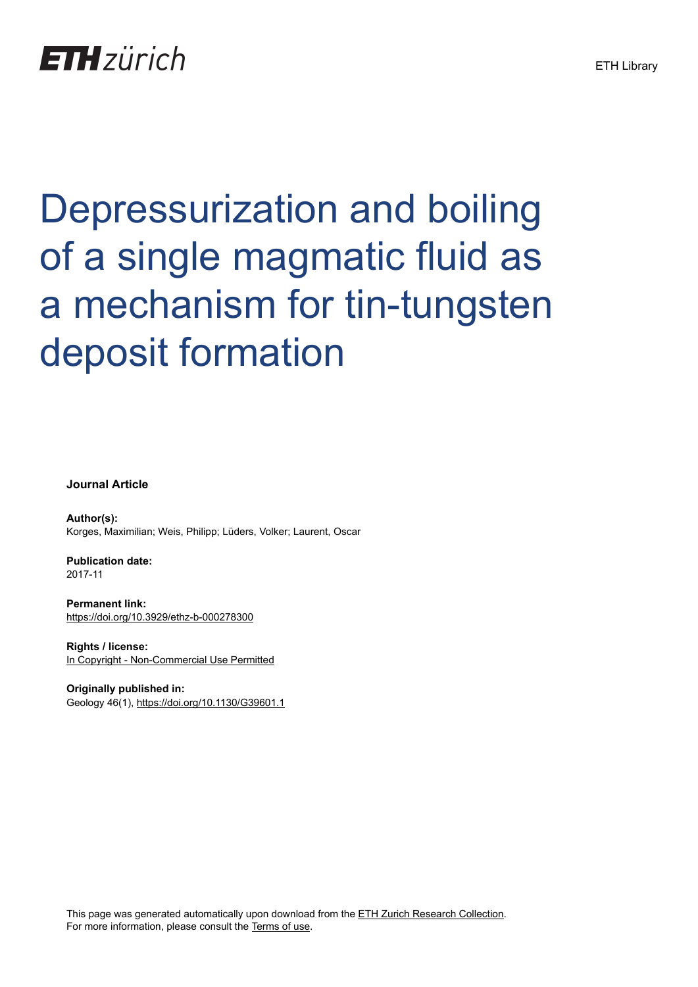## **ETH** zürich

# Depressurization and boiling of a single magmatic fluid as a mechanism for tin-tungsten deposit formation

**Journal Article**

**Author(s):** Korges, Maximilian; Weis, Philipp; Lüders, Volker; Laurent, Oscar

**Publication date:** 2017-11

**Permanent link:** <https://doi.org/10.3929/ethz-b-000278300>

**Rights / license:** [In Copyright - Non-Commercial Use Permitted](http://rightsstatements.org/page/InC-NC/1.0/)

**Originally published in:** Geology 46(1), <https://doi.org/10.1130/G39601.1>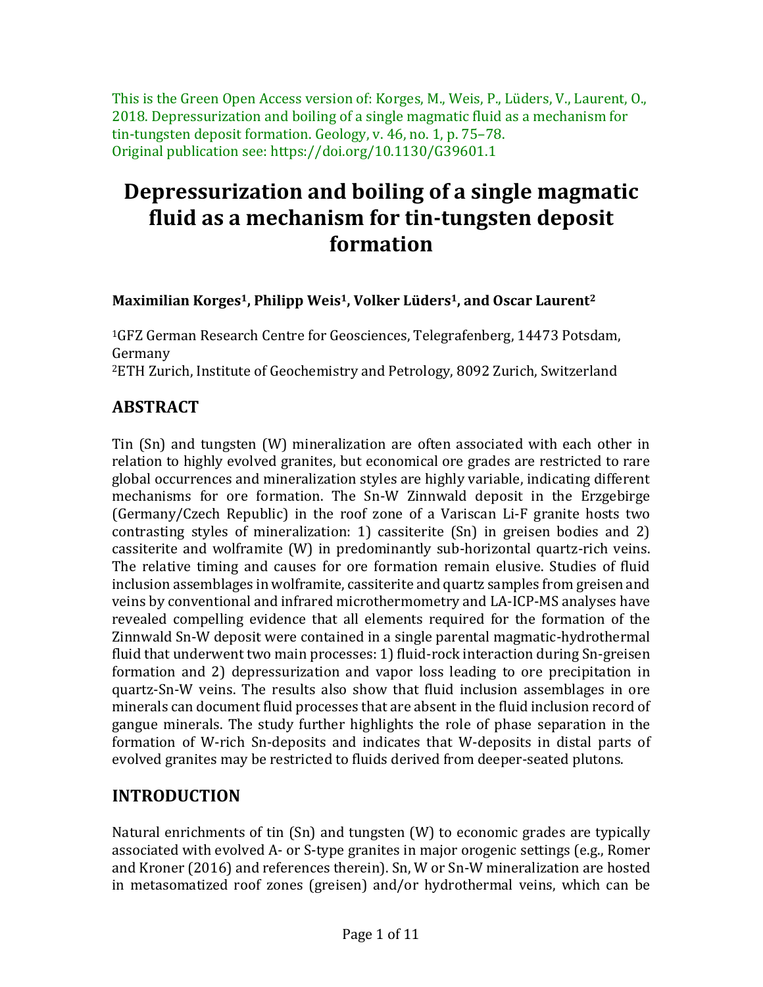This is the Green Open Access version of: [Korges,](javascript:;) M., [Weis,](javascript:;) P., [Lüders,](javascript:;) V., [Laurent,](javascript:;) O., 2018. Depressurization and boiling of a single magmatic fluid as a mechanism for tin-tungsten deposit formation. Geology, v. 46, no. 1, p. 75–78. Original publication see: https://doi.org/10.1130/G39601.1

### **Depressurization and boiling of a single magmatic fluid as a mechanism for tin-tungsten deposit formation**

#### **Maximilian Korges1, Philipp Weis1, Volker Lüders1, and Oscar Laurent<sup>2</sup>**

<sup>1</sup>GFZ German Research Centre for Geosciences, Telegrafenberg, 14473 Potsdam, Germany

<sup>2</sup>ETH Zurich, Institute of Geochemistry and Petrology, 8092 Zurich, Switzerland

#### **ABSTRACT**

Tin (Sn) and tungsten (W) mineralization are often associated with each other in relation to highly evolved granites, but economical ore grades are restricted to rare global occurrences and mineralization styles are highly variable, indicating different mechanisms for ore formation. The Sn-W Zinnwald deposit in the Erzgebirge (Germany/Czech Republic) in the roof zone of a Variscan Li-F granite hosts two contrasting styles of mineralization: 1) cassiterite (Sn) in greisen bodies and 2) cassiterite and wolframite (W) in predominantly sub-horizontal quartz-rich veins. The relative timing and causes for ore formation remain elusive. Studies of fluid inclusion assemblages in wolframite, cassiterite and quartz samples from greisen and veins by conventional and infrared microthermometry and LA-ICP-MS analyses have revealed compelling evidence that all elements required for the formation of the Zinnwald Sn-W deposit were contained in a single parental magmatic-hydrothermal fluid that underwent two main processes: 1) fluid-rock interaction during Sn-greisen formation and 2) depressurization and vapor loss leading to ore precipitation in quartz-Sn-W veins. The results also show that fluid inclusion assemblages in ore minerals can document fluid processes that are absent in the fluid inclusion record of gangue minerals. The study further highlights the role of phase separation in the formation of W-rich Sn-deposits and indicates that W-deposits in distal parts of evolved granites may be restricted to fluids derived from deeper-seated plutons.

#### **INTRODUCTION**

Natural enrichments of tin (Sn) and tungsten (W) to economic grades are typically associated with evolved A- or S-type granites in major orogenic settings (e.g., Romer and Kroner (2016) and references therein). Sn, W or Sn-W mineralization are hosted in metasomatized roof zones (greisen) and/or hydrothermal veins, which can be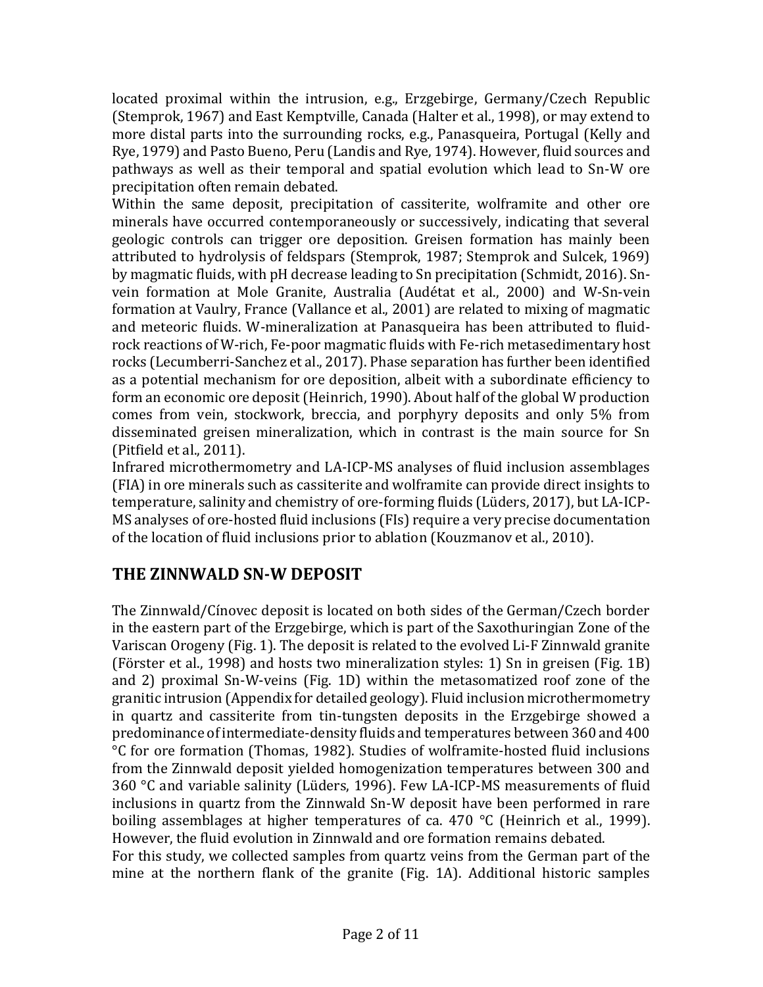located proximal within the intrusion, e.g., Erzgebirge, Germany/Czech Republic (Stemprok, 1967) and East Kemptville, Canada (Halter et al., 1998), or may extend to more distal parts into the surrounding rocks, e.g., Panasqueira, Portugal (Kelly and Rye, 1979) and Pasto Bueno, Peru (Landis and Rye, 1974). However, fluid sources and pathways as well as their temporal and spatial evolution which lead to Sn-W ore precipitation often remain debated.

Within the same deposit, precipitation of cassiterite, wolframite and other ore minerals have occurred contemporaneously or successively, indicating that several geologic controls can trigger ore deposition. Greisen formation has mainly been attributed to hydrolysis of feldspars (Stemprok, 1987; Stemprok and Sulcek, 1969) by magmatic fluids, with pH decrease leading to Sn precipitation (Schmidt, 2016). Snvein formation at Mole Granite, Australia (Audétat et al., 2000) and W-Sn-vein formation at Vaulry, France (Vallance et al., 2001) are related to mixing of magmatic and meteoric fluids. W-mineralization at Panasqueira has been attributed to fluidrock reactions of W-rich, Fe-poor magmatic fluids with Fe-rich metasedimentary host rocks (Lecumberri-Sanchez et al., 2017). Phase separation has further been identified as a potential mechanism for ore deposition, albeit with a subordinate efficiency to form an economic ore deposit (Heinrich, 1990). About half of the global W production comes from vein, stockwork, breccia, and porphyry deposits and only 5% from disseminated greisen mineralization, which in contrast is the main source for Sn (Pitfield et al., 2011).

Infrared microthermometry and LA-ICP-MS analyses of fluid inclusion assemblages (FIA) in ore minerals such as cassiterite and wolframite can provide direct insights to temperature, salinity and chemistry of ore-forming fluids (Lüders, 2017), but LA-ICP-MS analyses of ore-hosted fluid inclusions (FIs) require a very precise documentation of the location of fluid inclusions prior to ablation (Kouzmanov et al., 2010).

#### **THE ZINNWALD SN-W DEPOSIT**

The Zinnwald/Cínovec deposit is located on both sides of the German/Czech border in the eastern part of the Erzgebirge, which is part of the Saxothuringian Zone of the Variscan Orogeny (Fig. 1). The deposit is related to the evolved Li-F Zinnwald granite (Förster et al., 1998) and hosts two mineralization styles: 1) Sn in greisen (Fig. 1B) and 2) proximal Sn-W-veins (Fig. 1D) within the metasomatized roof zone of the granitic intrusion (Appendix for detailed geology). Fluid inclusion microthermometry in quartz and cassiterite from tin-tungsten deposits in the Erzgebirge showed a predominance of intermediate-density fluids and temperatures between 360 and 400 °C for ore formation (Thomas, 1982). Studies of wolframite-hosted fluid inclusions from the Zinnwald deposit yielded homogenization temperatures between 300 and 360 °C and variable salinity (Lüders, 1996). Few LA-ICP-MS measurements of fluid inclusions in quartz from the Zinnwald Sn-W deposit have been performed in rare boiling assemblages at higher temperatures of ca. 470 °C (Heinrich et al., 1999). However, the fluid evolution in Zinnwald and ore formation remains debated. For this study, we collected samples from quartz veins from the German part of the mine at the northern flank of the granite (Fig. 1A). Additional historic samples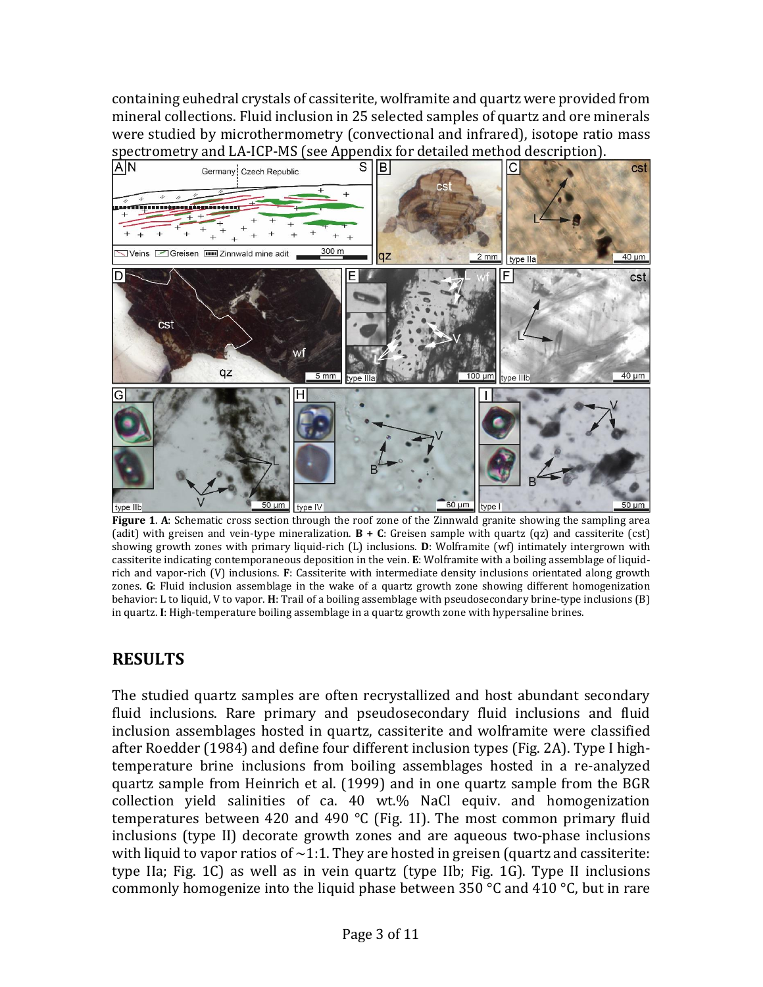containing euhedral crystals of cassiterite, wolframite and quartz were provided from mineral collections. Fluid inclusion in 25 selected samples of quartz and ore minerals were studied by microthermometry (convectional and infrared), isotope ratio mass spectrometry and LA-ICP-MS (see Appendix for detailed method description).



**Figure 1. A:** Schematic cross section through the roof zone of the Zinnwald granite showing the sampling area (adit) with greisen and vein-type mineralization. **B + C**: Greisen sample with quartz (qz) and cassiterite (cst) showing growth zones with primary liquid-rich (L) inclusions. **D**: Wolframite (wf) intimately intergrown with cassiterite indicating contemporaneous deposition in the vein. **E**: Wolframite with a boiling assemblage of liquidrich and vapor-rich (V) inclusions. **F**: Cassiterite with intermediate density inclusions orientated along growth zones. **G**: Fluid inclusion assemblage in the wake of a quartz growth zone showing different homogenization behavior: L to liquid, V to vapor. **H**: Trail of a boiling assemblage with pseudosecondary brine-type inclusions (B) in quartz. **I**: High-temperature boiling assemblage in a quartz growth zone with hypersaline brines.

#### **RESULTS**

The studied quartz samples are often recrystallized and host abundant secondary fluid inclusions. Rare primary and pseudosecondary fluid inclusions and fluid inclusion assemblages hosted in quartz, cassiterite and wolframite were classified after Roedder (1984) and define four different inclusion types (Fig. 2A). Type I hightemperature brine inclusions from boiling assemblages hosted in a re-analyzed quartz sample from Heinrich et al. (1999) and in one quartz sample from the BGR collection yield salinities of ca. 40 wt.% NaCl equiv. and homogenization temperatures between 420 and 490  $^{\circ}$ C (Fig. 1I). The most common primary fluid inclusions (type II) decorate growth zones and are aqueous two-phase inclusions with liquid to vapor ratios of  $\sim$ 1:1. They are hosted in greisen (quartz and cassiterite: type IIa; Fig. 1C) as well as in vein quartz (type IIb; Fig. 1G). Type II inclusions commonly homogenize into the liquid phase between 350 °C and 410 °C, but in rare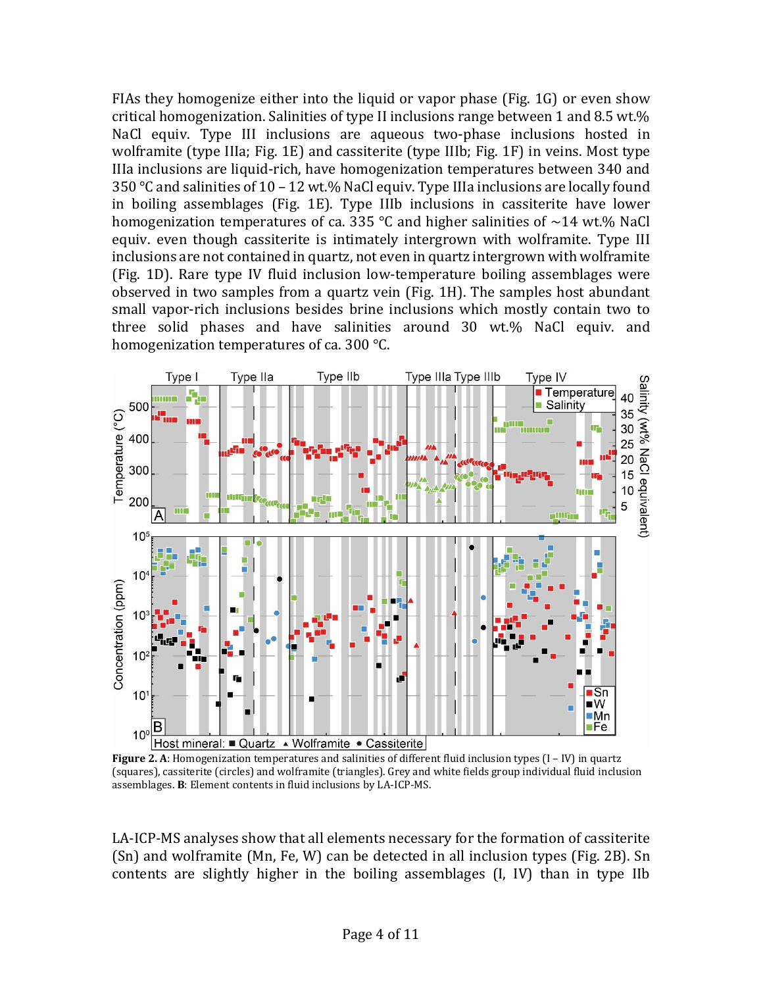FIAs they homogenize either into the liquid or vapor phase (Fig. 1G) or even show critical homogenization. Salinities of type II inclusions range between 1 and 8.5 wt.% NaCl equiv. Type III inclusions are aqueous two-phase inclusions hosted in wolframite (type IIIa; Fig. 1E) and cassiterite (type IIIb; Fig. 1F) in veins. Most type IIIa inclusions are liquid-rich, have homogenization temperatures between 340 and 350 °C and salinities of 10 – 12 wt.% NaCl equiv. Type IIIa inclusions are locally found in boiling assemblages (Fig. 1E). Type IIIb inclusions in cassiterite have lower homogenization temperatures of ca. 335 °C and higher salinities of  $\sim$ 14 wt.% NaCl equiv. even though cassiterite is intimately intergrown with wolframite. Type III inclusions are not contained in quartz, not even in quartz intergrown with wolframite (Fig. 1D). Rare type IV fluid inclusion low-temperature boiling assemblages were observed in two samples from a quartz vein (Fig. 1H). The samples host abundant small vapor-rich inclusions besides brine inclusions which mostly contain two to three solid phases and have salinities around 30 wt.% NaCl equiv. and homogenization temperatures of ca. 300 °C.



**Figure 2. A**: Homogenization temperatures and salinities of different fluid inclusion types (I – IV) in quartz (squares), cassiterite (circles) and wolframite (triangles). Grey and white fields group individual fluid inclusion assemblages. **B**: Element contents in fluid inclusions by LA-ICP-MS.

LA-ICP-MS analyses show that all elements necessary for the formation of cassiterite (Sn) and wolframite (Mn, Fe, W) can be detected in all inclusion types (Fig. 2B). Sn contents are slightly higher in the boiling assemblages (I, IV) than in type IIb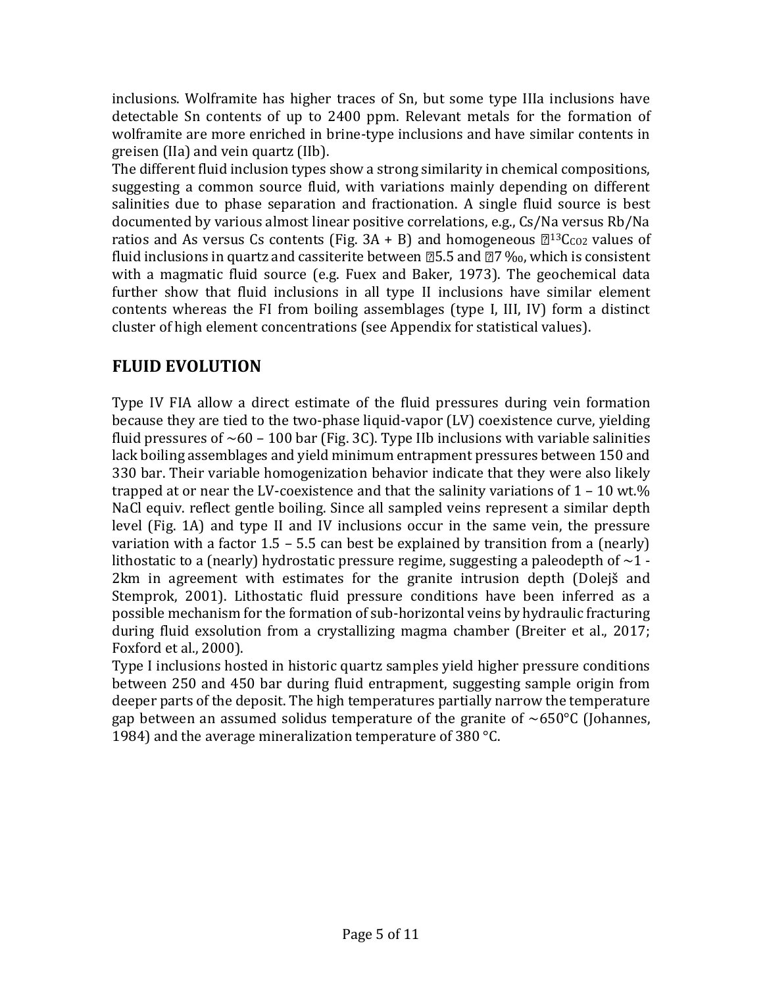inclusions. Wolframite has higher traces of Sn, but some type IIIa inclusions have detectable Sn contents of up to 2400 ppm. Relevant metals for the formation of wolframite are more enriched in brine-type inclusions and have similar contents in greisen (IIa) and vein quartz (IIb).

The different fluid inclusion types show a strong similarity in chemical compositions, suggesting a common source fluid, with variations mainly depending on different salinities due to phase separation and fractionation. A single fluid source is best documented by various almost linear positive correlations, e.g., Cs/Na versus Rb/Na ratios and As versus Cs contents (Fig.  $3A + B$ ) and homogeneous  $\mathbb{Z}^{13}$ Cco<sub>2</sub> values of fluid inclusions in quartz and cassiterite between  $25.5$  and  $27$ %, which is consistent with a magmatic fluid source (e.g. Fuex and Baker, 1973). The geochemical data further show that fluid inclusions in all type II inclusions have similar element contents whereas the FI from boiling assemblages (type I, III, IV) form a distinct cluster of high element concentrations (see Appendix for statistical values).

#### **FLUID EVOLUTION**

Type IV FIA allow a direct estimate of the fluid pressures during vein formation because they are tied to the two-phase liquid-vapor (LV) coexistence curve, yielding fluid pressures of  $\sim 60 - 100$  bar (Fig. 3C). Type IIb inclusions with variable salinities lack boiling assemblages and yield minimum entrapment pressures between 150 and 330 bar. Their variable homogenization behavior indicate that they were also likely trapped at or near the LV-coexistence and that the salinity variations of  $1 - 10$  wt.% NaCl equiv. reflect gentle boiling. Since all sampled veins represent a similar depth level (Fig. 1A) and type II and IV inclusions occur in the same vein, the pressure variation with a factor 1.5 – 5.5 can best be explained by transition from a (nearly) lithostatic to a (nearly) hydrostatic pressure regime, suggesting a paleodepth of  $\sim$ 1 -2km in agreement with estimates for the granite intrusion depth (Dolejš and Stemprok, 2001). Lithostatic fluid pressure conditions have been inferred as a possible mechanism for the formation of sub-horizontal veins by hydraulic fracturing during fluid exsolution from a crystallizing magma chamber (Breiter et al., 2017; Foxford et al., 2000).

Type I inclusions hosted in historic quartz samples yield higher pressure conditions between 250 and 450 bar during fluid entrapment, suggesting sample origin from deeper parts of the deposit. The high temperatures partially narrow the temperature gap between an assumed solidus temperature of the granite of  $\sim 650^{\circ}$ C (Johannes, 1984) and the average mineralization temperature of 380 °C.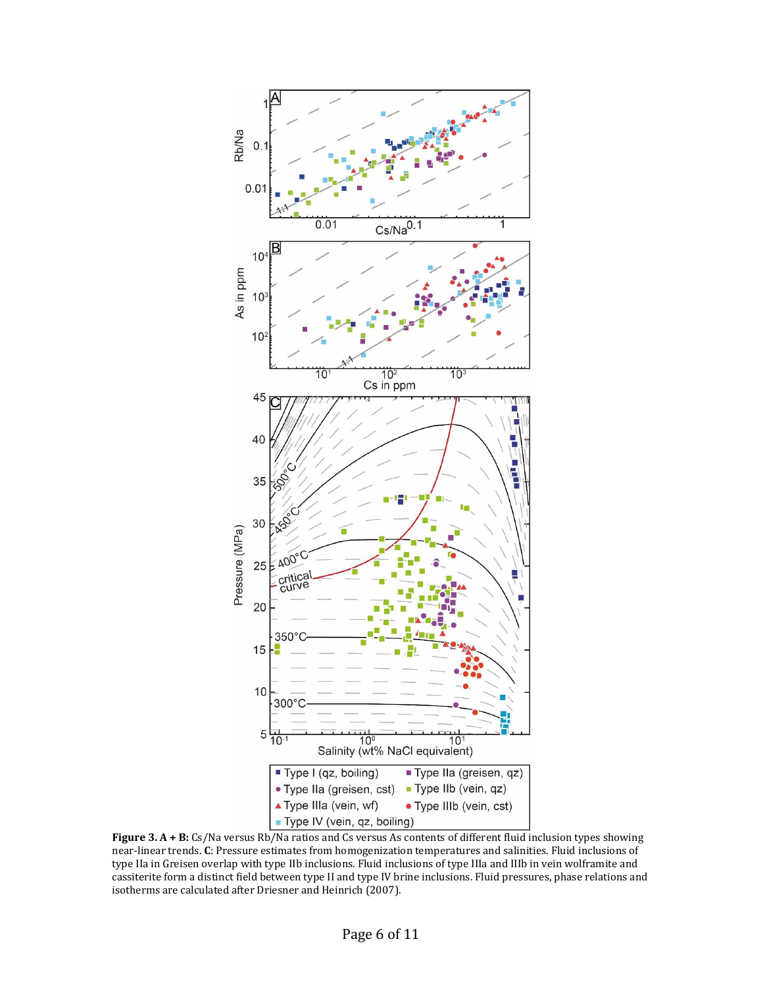

Figure 3. A + B: Cs/Na versus Rb/Na ratios and Cs versus As contents of different fluid inclusion types showing near-linear trends. **C**: Pressure estimates from homogenization temperatures and salinities. Fluid inclusions of type IIa in Greisen overlap with type IIb inclusions. Fluid inclusions of type IIIa and IIIb in vein wolframite and cassiterite form a distinct field between type II and type IV brine inclusions. Fluid pressures, phase relations and isotherms are calculated after Driesner and Heinrich (2007).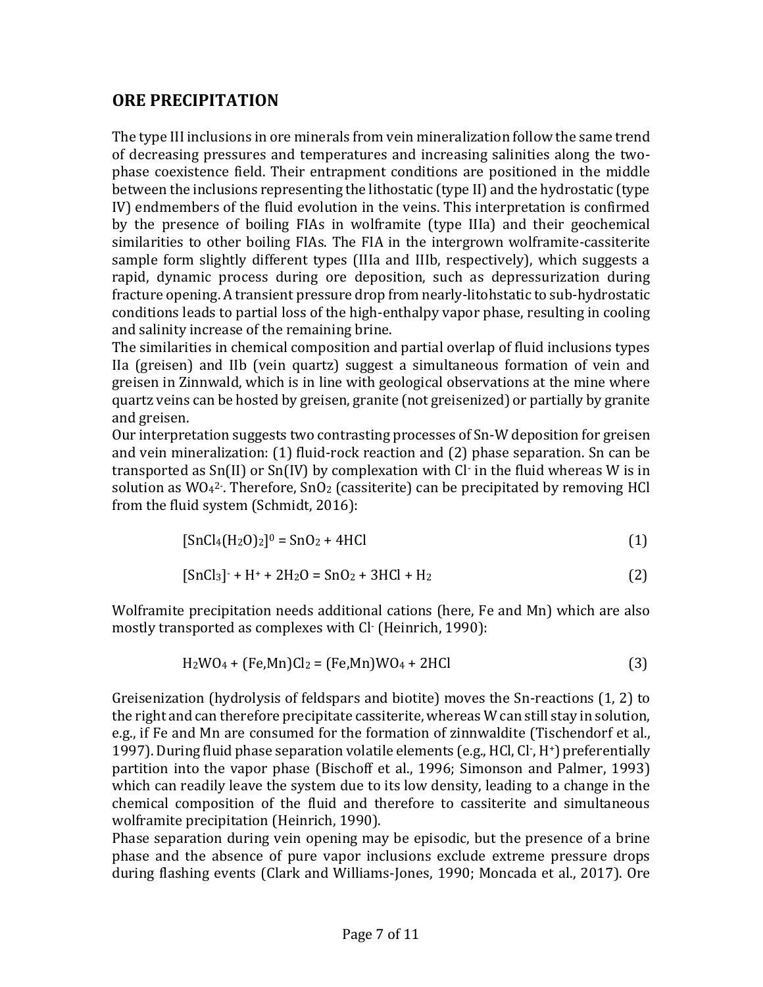#### **ORE PRECIPITATION**

The type III inclusions in ore minerals from vein mineralization follow the same trend of decreasing pressures and temperatures and increasing salinities along the twophase coexistence field. Their entrapment conditions are positioned in the middle between the inclusions representing the lithostatic (type II) and the hydrostatic (type IV) endmembers of the fluid evolution in the veins. This interpretation is confirmed by the presence of boiling FIAs in wolframite (type IIIa) and their geochemical similarities to other boiling FIAs. The FIA in the intergrown wolframite-cassiterite sample form slightly different types (IIIa and IIIb, respectively), which suggests a rapid, dynamic process during ore deposition, such as depressurization during fracture opening. A transient pressure drop from nearly-litohstatic to sub-hydrostatic conditions leads to partial loss of the high-enthalpy vapor phase, resulting in cooling and salinity increase of the remaining brine.

The similarities in chemical composition and partial overlap of fluid inclusions types IIa (greisen) and IIb (vein quartz) suggest a simultaneous formation of vein and greisen in Zinnwald, which is in line with geological observations at the mine where quartz veins can be hosted by greisen, granite (not greisenized) or partially by granite and greisen.

Our interpretation suggests two contrasting processes of Sn-W deposition for greisen and vein mineralization: (1) fluid-rock reaction and (2) phase separation. Sn can be transported as Sn(II) or Sn(IV) by complexation with Cl-in the fluid whereas W is in solution as  $WO_4^2$ . Therefore, Sn $O_2$  (cassiterite) can be precipitated by removing HCl from the fluid system (Schmidt, 2016):

$$
[SnCl_4(H_2O)_2]^0 = SnO_2 + 4HCl
$$
\n(1)

$$
[SnCl3]+H++2H2O = SnO2+3HCl + H2
$$
 (2)

Wolframite precipitation needs additional cations (here, Fe and Mn) which are also mostly transported as complexes with Cl- (Heinrich, 1990):

$$
H_2WO_4 + (Fe, Mn)Cl_2 = (Fe, Mn)WO_4 + 2HCl
$$
 (3)

Greisenization (hydrolysis of feldspars and biotite) moves the Sn-reactions (1, 2) to the right and can therefore precipitate cassiterite, whereas W can still stay in solution, e.g., if Fe and Mn are consumed for the formation of zinnwaldite (Tischendorf et al., 1997). During fluid phase separation volatile elements (e.g., HCl, Cl<sup>-</sup>, H<sup>+</sup>) preferentially partition into the vapor phase (Bischoff et al., 1996; Simonson and Palmer, 1993) which can readily leave the system due to its low density, leading to a change in the chemical composition of the fluid and therefore to cassiterite and simultaneous wolframite precipitation (Heinrich, 1990).

Phase separation during vein opening may be episodic, but the presence of a brine phase and the absence of pure vapor inclusions exclude extreme pressure drops during flashing events (Clark and Williams-Jones, 1990; Moncada et al., 2017). Ore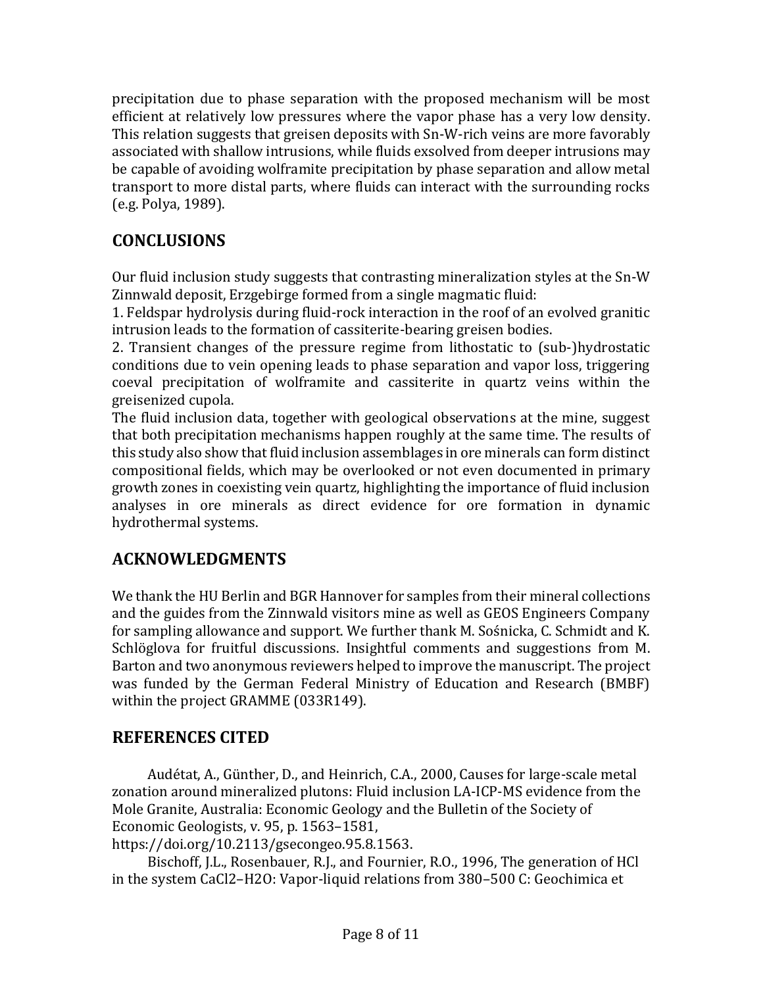precipitation due to phase separation with the proposed mechanism will be most efficient at relatively low pressures where the vapor phase has a very low density. This relation suggests that greisen deposits with Sn-W-rich veins are more favorably associated with shallow intrusions, while fluids exsolved from deeper intrusions may be capable of avoiding wolframite precipitation by phase separation and allow metal transport to more distal parts, where fluids can interact with the surrounding rocks (e.g. Polya, 1989).

#### **CONCLUSIONS**

Our fluid inclusion study suggests that contrasting mineralization styles at the Sn-W Zinnwald deposit, Erzgebirge formed from a single magmatic fluid:

1. Feldspar hydrolysis during fluid-rock interaction in the roof of an evolved granitic intrusion leads to the formation of cassiterite-bearing greisen bodies.

2. Transient changes of the pressure regime from lithostatic to (sub-)hydrostatic conditions due to vein opening leads to phase separation and vapor loss, triggering coeval precipitation of wolframite and cassiterite in quartz veins within the greisenized cupola.

The fluid inclusion data, together with geological observations at the mine, suggest that both precipitation mechanisms happen roughly at the same time. The results of this study also show that fluid inclusion assemblages in ore minerals can form distinct compositional fields, which may be overlooked or not even documented in primary growth zones in coexisting vein quartz, highlighting the importance of fluid inclusion analyses in ore minerals as direct evidence for ore formation in dynamic hydrothermal systems.

#### **ACKNOWLEDGMENTS**

We thank the HU Berlin and BGR Hannover for samples from their mineral collections and the guides from the Zinnwald visitors mine as well as GEOS Engineers Company for sampling allowance and support. We further thank M. Sośnicka, C. Schmidt and K. Schlöglova for fruitful discussions. Insightful comments and suggestions from M. Barton and two anonymous reviewers helped to improve the manuscript. The project was funded by the German Federal Ministry of Education and Research (BMBF) within the project GRAMME (033R149).

#### **REFERENCES CITED**

Audétat, A., Günther, D., and Heinrich, C.A., 2000, Causes for large-scale metal zonation around mineralized plutons: Fluid inclusion LA-ICP-MS evidence from the Mole Granite, Australia: Economic Geology and the Bulletin of the Society of Economic Geologists, v. 95, p. 1563–1581,

https://doi.org/10.2113/gsecongeo.95.8.1563.

Bischoff, J.L., Rosenbauer, R.J., and Fournier, R.O., 1996, The generation of HCl in the system CaCl2–H2O: Vapor-liquid relations from 380–500 C: Geochimica et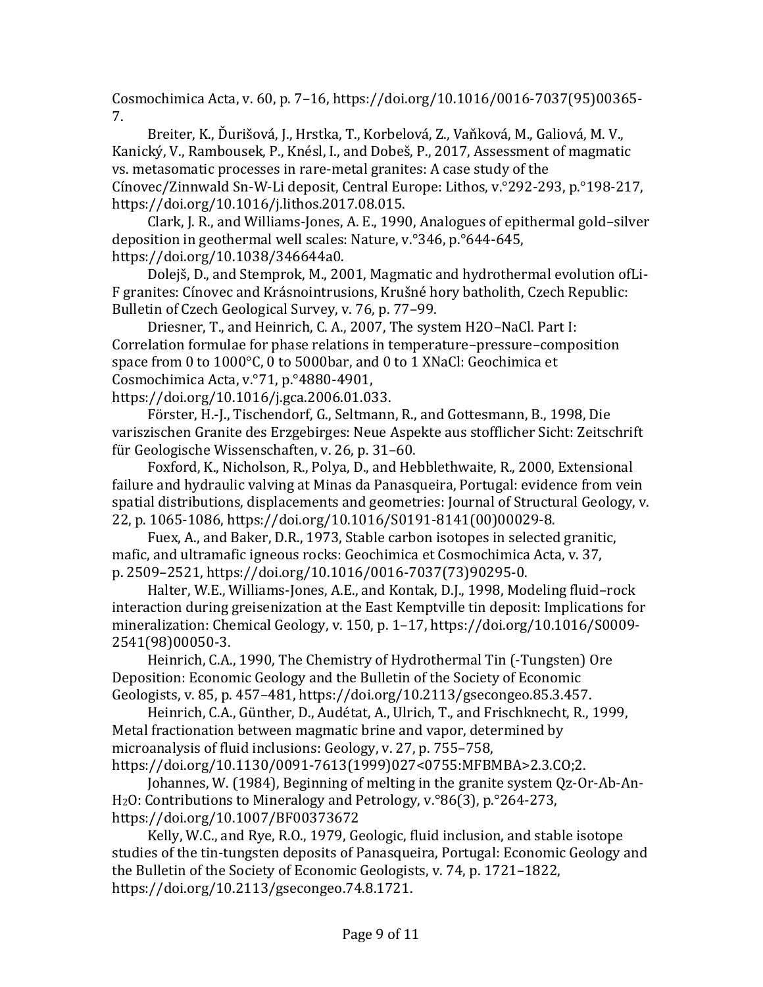Cosmochimica Acta, v. 60, p. 7–16, https://doi.org/10.1016/0016-7037(95)00365- 7.

Breiter, K., Ďurišová, J., Hrstka, T., Korbelová, Z., Vaňková, M., Galiová, M. V., Kanický, V., Rambousek, P., Knésl, I., and Dobeš, P., 2017, Assessment of magmatic vs. metasomatic processes in rare-metal granites: A case study of the Cínovec/Zinnwald Sn-W-Li deposit, Central Europe: Lithos, v.°292-293, p.°198-217, https://doi.org/10.1016/j.lithos.2017.08.015.

Clark, J. R., and Williams-Jones, A. E., 1990, Analogues of epithermal gold–silver deposition in geothermal well scales: Nature, v.°346, p.°644-645, https://doi.org/10.1038/346644a0.

Dolejš, D., and Stemprok, M., 2001, Magmatic and hydrothermal evolution ofLi-F granites: Cínovec and Krásnointrusions, Krušné hory batholith, Czech Republic: Bulletin of Czech Geological Survey, v. 76, p. 77–99.

Driesner, T., and Heinrich, C. A., 2007, The system H2O–NaCl. Part I: Correlation formulae for phase relations in temperature–pressure–composition space from 0 to 1000°C, 0 to 5000bar, and 0 to 1 XNaCl: Geochimica et Cosmochimica Acta, v.°71, p.°4880-4901,

https://doi.org/10.1016/j.gca.2006.01.033.

Förster, H.-J., Tischendorf, G., Seltmann, R., and Gottesmann, B., 1998, Die variszischen Granite des Erzgebirges: Neue Aspekte aus stofflicher Sicht: Zeitschrift für Geologische Wissenschaften, v. 26, p. 31–60.

Foxford, K., Nicholson, R., Polya, D., and Hebblethwaite, R., 2000, Extensional failure and hydraulic valving at Minas da Panasqueira, Portugal: evidence from vein spatial distributions, displacements and geometries: Journal of Structural Geology, v. 22, p. 1065-1086, https://doi.org/10.1016/S0191-8141(00)00029-8.

Fuex, A., and Baker, D.R., 1973, Stable carbon isotopes in selected granitic, mafic, and ultramafic igneous rocks: Geochimica et Cosmochimica Acta, v. 37, p. 2509–2521, https://doi.org/10.1016/0016-7037(73)90295-0.

Halter, W.E., Williams-Jones, A.E., and Kontak, D.J., 1998, Modeling fluid–rock interaction during greisenization at the East Kemptville tin deposit: Implications for mineralization: Chemical Geology, v. 150, p. 1–17, https://doi.org/10.1016/S0009- 2541(98)00050-3.

Heinrich, C.A., 1990, The Chemistry of Hydrothermal Tin (-Tungsten) Ore Deposition: Economic Geology and the Bulletin of the Society of Economic Geologists, v. 85, p. 457–481, https://doi.org/10.2113/gsecongeo.85.3.457.

Heinrich, C.A., Günther, D., Audétat, A., Ulrich, T., and Frischknecht, R., 1999, Metal fractionation between magmatic brine and vapor, determined by microanalysis of fluid inclusions: Geology, v. 27, p. 755–758, https://doi.org/10.1130/0091-7613(1999)027<0755:MFBMBA>2.3.CO;2.

Johannes, W. (1984), Beginning of melting in the granite system Qz-Or-Ab-An-H2O: Contributions to Mineralogy and Petrology, v.°86(3), p.°264-273, https://doi.org/10.1007/BF00373672

Kelly, W.C., and Rye, R.O., 1979, Geologic, fluid inclusion, and stable isotope studies of the tin-tungsten deposits of Panasqueira, Portugal: Economic Geology and the Bulletin of the Society of Economic Geologists, v. 74, p. 1721–1822, https://doi.org/10.2113/gsecongeo.74.8.1721.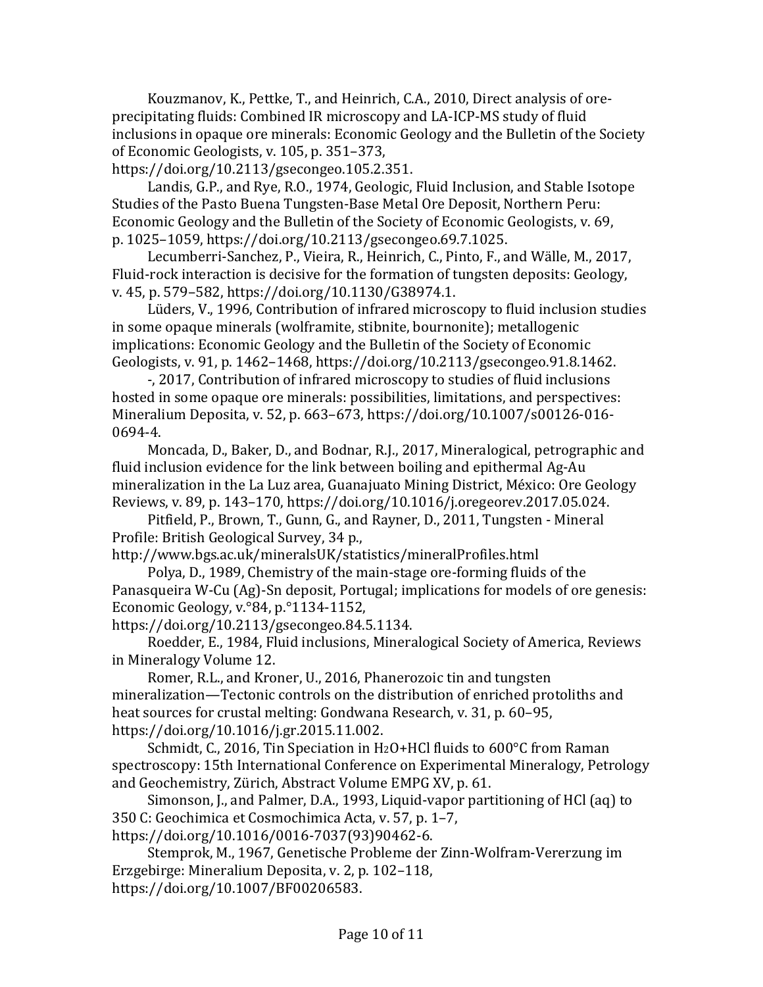Kouzmanov, K., Pettke, T., and Heinrich, C.A., 2010, Direct analysis of oreprecipitating fluids: Combined IR microscopy and LA-ICP-MS study of fluid inclusions in opaque ore minerals: Economic Geology and the Bulletin of the Society of Economic Geologists, v. 105, p. 351–373,

https://doi.org/10.2113/gsecongeo.105.2.351.

Landis, G.P., and Rye, R.O., 1974, Geologic, Fluid Inclusion, and Stable Isotope Studies of the Pasto Buena Tungsten-Base Metal Ore Deposit, Northern Peru: Economic Geology and the Bulletin of the Society of Economic Geologists, v. 69, p. 1025–1059, https://doi.org/10.2113/gsecongeo.69.7.1025.

Lecumberri-Sanchez, P., Vieira, R., Heinrich, C., Pinto, F., and Wӓlle, M., 2017, Fluid-rock interaction is decisive for the formation of tungsten deposits: Geology, v. 45, p. 579–582, https://doi.org/10.1130/G38974.1.

Lüders, V., 1996, Contribution of infrared microscopy to fluid inclusion studies in some opaque minerals (wolframite, stibnite, bournonite); metallogenic implications: Economic Geology and the Bulletin of the Society of Economic Geologists, v. 91, p. 1462–1468, https://doi.org/10.2113/gsecongeo.91.8.1462.

-, 2017, Contribution of infrared microscopy to studies of fluid inclusions hosted in some opaque ore minerals: possibilities, limitations, and perspectives: Mineralium Deposita, v. 52, p. 663–673, https://doi.org/10.1007/s00126-016- 0694-4.

Moncada, D., Baker, D., and Bodnar, R.J., 2017, Mineralogical, petrographic and fluid inclusion evidence for the link between boiling and epithermal Ag-Au mineralization in the La Luz area, Guanajuato Mining District, México: Ore Geology Reviews, v. 89, p. 143–170, https://doi.org/10.1016/j.oregeorev.2017.05.024.

Pitfield, P., Brown, T., Gunn, G., and Rayner, D., 2011, Tungsten - Mineral Profile: British Geological Survey, 34 p.,

http://www.bgs.ac.uk/mineralsUK/statistics/mineralProfiles.html

Polya, D., 1989, Chemistry of the main-stage ore-forming fluids of the Panasqueira W-Cu (Ag)-Sn deposit, Portugal; implications for models of ore genesis: Economic Geology, v.°84, p.°1134-1152,

https://doi.org/10.2113/gsecongeo.84.5.1134.

Roedder, E., 1984, Fluid inclusions, Mineralogical Society of America, Reviews in Mineralogy Volume 12.

Romer, R.L., and Kroner, U., 2016, Phanerozoic tin and tungsten mineralization—Tectonic controls on the distribution of enriched protoliths and heat sources for crustal melting: Gondwana Research, v. 31, p. 60–95, https://doi.org/10.1016/j.gr.2015.11.002.

Schmidt, C., 2016, Tin Speciation in H<sub>2</sub>O+HCl fluids to 600°C from Raman spectroscopy: 15th International Conference on Experimental Mineralogy, Petrology and Geochemistry, Zürich, Abstract Volume EMPG XV, p. 61.

Simonson, J., and Palmer, D.A., 1993, Liquid-vapor partitioning of HCl (aq) to 350 C: Geochimica et Cosmochimica Acta, v. 57, p. 1–7, https://doi.org/10.1016/0016-7037(93)90462-6.

Stemprok, M., 1967, Genetische Probleme der Zinn-Wolfram-Vererzung im Erzgebirge: Mineralium Deposita, v. 2, p. 102–118, https://doi.org/10.1007/BF00206583.